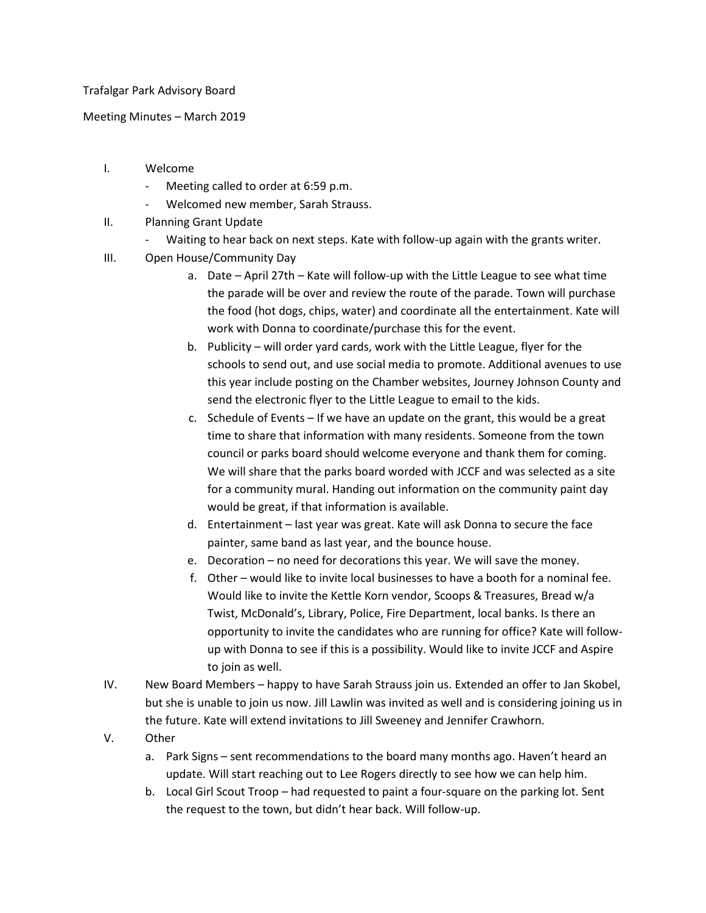## Trafalgar Park Advisory Board

Meeting Minutes – March 2019

- I. Welcome
	- Meeting called to order at 6:59 p.m.
	- Welcomed new member, Sarah Strauss.
- II. Planning Grant Update
	- Waiting to hear back on next steps. Kate with follow-up again with the grants writer.
- III. Open House/Community Day
	- a. Date April 27th Kate will follow-up with the Little League to see what time the parade will be over and review the route of the parade. Town will purchase the food (hot dogs, chips, water) and coordinate all the entertainment. Kate will work with Donna to coordinate/purchase this for the event.
	- b. Publicity will order yard cards, work with the Little League, flyer for the schools to send out, and use social media to promote. Additional avenues to use this year include posting on the Chamber websites, Journey Johnson County and send the electronic flyer to the Little League to email to the kids.
	- c. Schedule of Events If we have an update on the grant, this would be a great time to share that information with many residents. Someone from the town council or parks board should welcome everyone and thank them for coming. We will share that the parks board worded with JCCF and was selected as a site for a community mural. Handing out information on the community paint day would be great, if that information is available.
	- d. Entertainment last year was great. Kate will ask Donna to secure the face painter, same band as last year, and the bounce house.
	- e. Decoration no need for decorations this year. We will save the money.
	- f. Other would like to invite local businesses to have a booth for a nominal fee. Would like to invite the Kettle Korn vendor, Scoops & Treasures, Bread w/a Twist, McDonald's, Library, Police, Fire Department, local banks. Is there an opportunity to invite the candidates who are running for office? Kate will followup with Donna to see if this is a possibility. Would like to invite JCCF and Aspire to join as well.
- IV. New Board Members happy to have Sarah Strauss join us. Extended an offer to Jan Skobel, but she is unable to join us now. Jill Lawlin was invited as well and is considering joining us in the future. Kate will extend invitations to Jill Sweeney and Jennifer Crawhorn.
- V. Other
	- a. Park Signs sent recommendations to the board many months ago. Haven't heard an update. Will start reaching out to Lee Rogers directly to see how we can help him.
	- b. Local Girl Scout Troop had requested to paint a four-square on the parking lot. Sent the request to the town, but didn't hear back. Will follow-up.